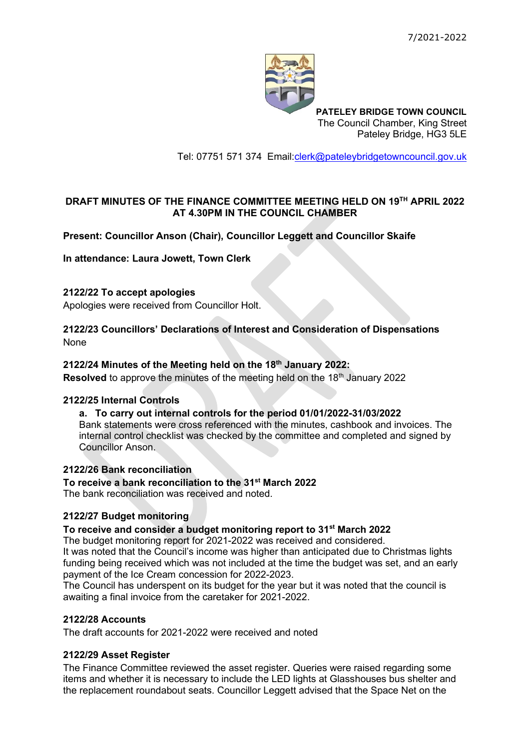

**PATELEY BRIDGE TOWN COUNCIL** The Council Chamber, King Street Pateley Bridge, HG3 5LE

Tel: 07751 571 374 Email[:clerk@pateleybridgetowncouncil.gov.uk](mailto:clerk@pateleybridgetowncouncil.gov.uk)

# **DRAFT MINUTES OF THE FINANCE COMMITTEE MEETING HELD ON 19 TH APRIL 2022 AT 4.30PM IN THE COUNCIL CHAMBER**

# **Present: Councillor Anson (Chair), Councillor Leggett and Councillor Skaife**

#### **In attendance: Laura Jowett, Town Clerk**

## **2122/22 To accept apologies**

Apologies were received from Councillor Holt.

### **2122/23 Councillors' Declarations of Interest and Consideration of Dispensations** None

### **2122/24 Minutes of the Meeting held on the 18 th January 2022:**

**Resolved** to approve the minutes of the meeting held on the 18<sup>th</sup> January 2022

#### **2122/25 Internal Controls**

#### **a. To carry out internal controls for the period 01/01/2022-31/03/2022**

Bank statements were cross referenced with the minutes, cashbook and invoices. The internal control checklist was checked by the committee and completed and signed by Councillor Anson.

#### **2122/26 Bank reconciliation**

#### **To receive a bank reconciliation to the 31st March 2022**

The bank reconciliation was received and noted.

## **2122/27 Budget monitoring**

#### **To receive and consider a budget monitoring report to 31st March 2022**

The budget monitoring report for 2021-2022 was received and considered.

It was noted that the Council's income was higher than anticipated due to Christmas lights funding being received which was not included at the time the budget was set, and an early payment of the Ice Cream concession for 2022-2023.

The Council has underspent on its budget for the year but it was noted that the council is awaiting a final invoice from the caretaker for 2021-2022.

#### **2122/28 Accounts**

The draft accounts for 2021-2022 were received and noted

## **2122/29 Asset Register**

The Finance Committee reviewed the asset register. Queries were raised regarding some items and whether it is necessary to include the LED lights at Glasshouses bus shelter and the replacement roundabout seats. Councillor Leggett advised that the Space Net on the